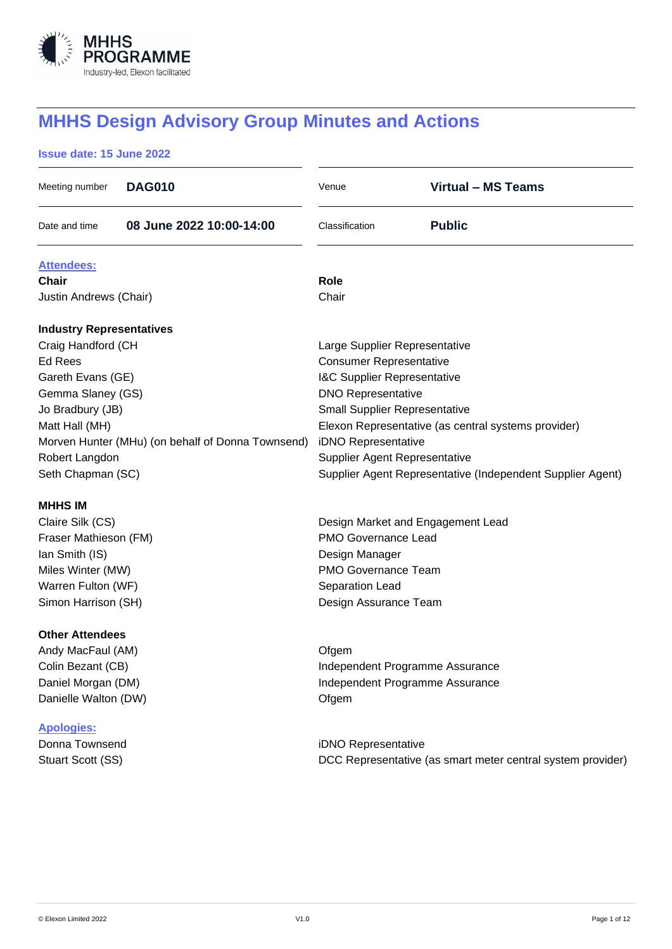

# **MHHS Design Advisory Group Minutes and Actions**

# **Issue date: 15 June 2022**

| Meeting number                                    | <b>DAG010</b>            | Venue                                                       | <b>Virtual - MS Teams</b> |  |
|---------------------------------------------------|--------------------------|-------------------------------------------------------------|---------------------------|--|
| Date and time                                     | 08 June 2022 10:00-14:00 | Classification                                              | <b>Public</b>             |  |
| <b>Attendees:</b>                                 |                          |                                                             |                           |  |
| Chair                                             |                          | Role                                                        |                           |  |
| Justin Andrews (Chair)                            |                          | Chair                                                       |                           |  |
| <b>Industry Representatives</b>                   |                          |                                                             |                           |  |
| Craig Handford (CH                                |                          | Large Supplier Representative                               |                           |  |
| Ed Rees                                           |                          | <b>Consumer Representative</b>                              |                           |  |
| Gareth Evans (GE)                                 |                          | <b>I&amp;C Supplier Representative</b>                      |                           |  |
| Gemma Slaney (GS)                                 |                          | <b>DNO Representative</b>                                   |                           |  |
| Jo Bradbury (JB)                                  |                          | <b>Small Supplier Representative</b>                        |                           |  |
| Matt Hall (MH)                                    |                          | Elexon Representative (as central systems provider)         |                           |  |
| Morven Hunter (MHu) (on behalf of Donna Townsend) |                          | iDNO Representative                                         |                           |  |
| Robert Langdon                                    |                          | <b>Supplier Agent Representative</b>                        |                           |  |
| Seth Chapman (SC)                                 |                          | Supplier Agent Representative (Independent Supplier Agent)  |                           |  |
| <b>MHHS IM</b>                                    |                          |                                                             |                           |  |
| Claire Silk (CS)                                  |                          | Design Market and Engagement Lead                           |                           |  |
| Fraser Mathieson (FM)                             |                          | <b>PMO Governance Lead</b>                                  |                           |  |
| Ian Smith (IS)                                    |                          | Design Manager                                              |                           |  |
| Miles Winter (MW)                                 |                          | <b>PMO Governance Team</b>                                  |                           |  |
| Warren Fulton (WF)                                |                          | Separation Lead                                             |                           |  |
| Simon Harrison (SH)                               |                          | Design Assurance Team                                       |                           |  |
| <b>Other Attendees</b>                            |                          |                                                             |                           |  |
| Andy MacFaul (AM)                                 |                          | Ofgem                                                       |                           |  |
| Colin Bezant (CB)                                 |                          | Independent Programme Assurance                             |                           |  |
| Daniel Morgan (DM)                                |                          | Independent Programme Assurance                             |                           |  |
| Danielle Walton (DW)                              |                          | Ofgem                                                       |                           |  |
| <b>Apologies:</b>                                 |                          |                                                             |                           |  |
| Donna Townsend                                    |                          | iDNO Representative                                         |                           |  |
| Stuart Scott (SS)                                 |                          | DCC Representative (as smart meter central system provider) |                           |  |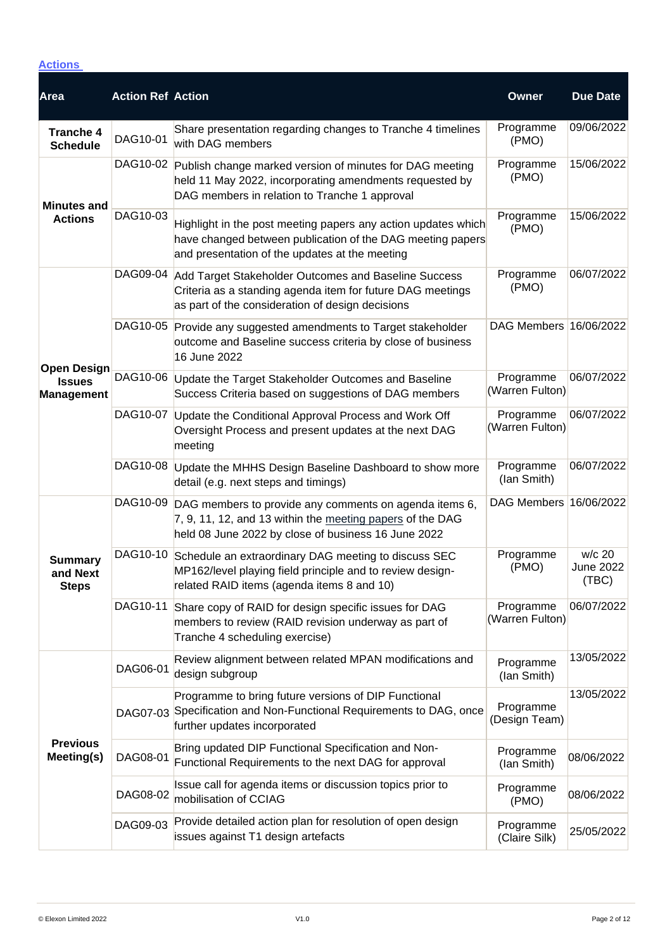# **Actions**

| <b>Area</b>                                              | <b>Action Ref Action</b> |                                                                                                                                                                                 | Owner                        | <b>Due Date</b>                     |
|----------------------------------------------------------|--------------------------|---------------------------------------------------------------------------------------------------------------------------------------------------------------------------------|------------------------------|-------------------------------------|
| <b>Tranche 4</b><br><b>Schedule</b>                      | DAG10-01                 | Share presentation regarding changes to Tranche 4 timelines<br>with DAG members                                                                                                 | Programme<br>(PMO)           | 09/06/2022                          |
| <b>Minutes and</b>                                       |                          | DAG10-02 Publish change marked version of minutes for DAG meeting<br>held 11 May 2022, incorporating amendments requested by<br>DAG members in relation to Tranche 1 approval   | Programme<br>(PMO)           | 15/06/2022                          |
| <b>Actions</b>                                           | DAG10-03                 | Highlight in the post meeting papers any action updates which<br>have changed between publication of the DAG meeting papers<br>and presentation of the updates at the meeting   | Programme<br>(PMO)           | 15/06/2022                          |
|                                                          |                          | DAG09-04 Add Target Stakeholder Outcomes and Baseline Success<br>Criteria as a standing agenda item for future DAG meetings<br>as part of the consideration of design decisions | Programme<br>(PMO)           | 06/07/2022                          |
|                                                          |                          | DAG10-05 Provide any suggested amendments to Target stakeholder<br>outcome and Baseline success criteria by close of business<br>16 June 2022                                   | DAG Members 16/06/2022       |                                     |
| <b>Open Design</b><br><b>Issues</b><br><b>Management</b> | DAG10-06                 | Update the Target Stakeholder Outcomes and Baseline<br>Success Criteria based on suggestions of DAG members                                                                     | Programme<br>(Warren Fulton) | 06/07/2022                          |
|                                                          | DAG10-07                 | Update the Conditional Approval Process and Work Off<br>Oversight Process and present updates at the next DAG<br>meeting                                                        | Programme<br>(Warren Fulton) | 06/07/2022                          |
|                                                          | DAG10-08                 | Update the MHHS Design Baseline Dashboard to show more<br>detail (e.g. next steps and timings)                                                                                  | Programme<br>(lan Smith)     | 06/07/2022                          |
|                                                          | DAG10-09                 | DAG members to provide any comments on agenda items 6,<br>7, 9, 11, 12, and 13 within the meeting papers of the DAG<br>held 08 June 2022 by close of business 16 June 2022      | DAG Members 16/06/2022       |                                     |
| <b>Summary</b><br>and Next<br><b>Steps</b>               | DAG10-10                 | Schedule an extraordinary DAG meeting to discuss SEC<br>MP162/level playing field principle and to review design-<br>related RAID items (agenda items 8 and 10)                 | Programme<br>(PMO)           | w/c 20<br><b>June 2022</b><br>(TBC) |
|                                                          | DAG10-11                 | Share copy of RAID for design specific issues for DAG<br>members to review (RAID revision underway as part of<br>Tranche 4 scheduling exercise)                                 | Programme<br>(Warren Fulton) | 06/07/2022                          |
| <b>Previous</b><br>Meeting(s)                            | DAG06-01                 | Review alignment between related MPAN modifications and<br>design subgroup                                                                                                      | Programme<br>(lan Smith)     | 13/05/2022                          |
|                                                          | DAG07-03                 | Programme to bring future versions of DIP Functional<br>Specification and Non-Functional Requirements to DAG, once<br>further updates incorporated                              | Programme<br>(Design Team)   | 13/05/2022                          |
|                                                          | DAG08-01                 | Bring updated DIP Functional Specification and Non-<br>Functional Requirements to the next DAG for approval                                                                     | Programme<br>(lan Smith)     | 08/06/2022                          |
|                                                          | DAG08-02                 | Issue call for agenda items or discussion topics prior to<br>mobilisation of CCIAG                                                                                              | Programme<br>(PMO)           | 08/06/2022                          |
|                                                          | DAG09-03                 | Provide detailed action plan for resolution of open design<br>issues against T1 design artefacts                                                                                | Programme<br>(Claire Silk)   | 25/05/2022                          |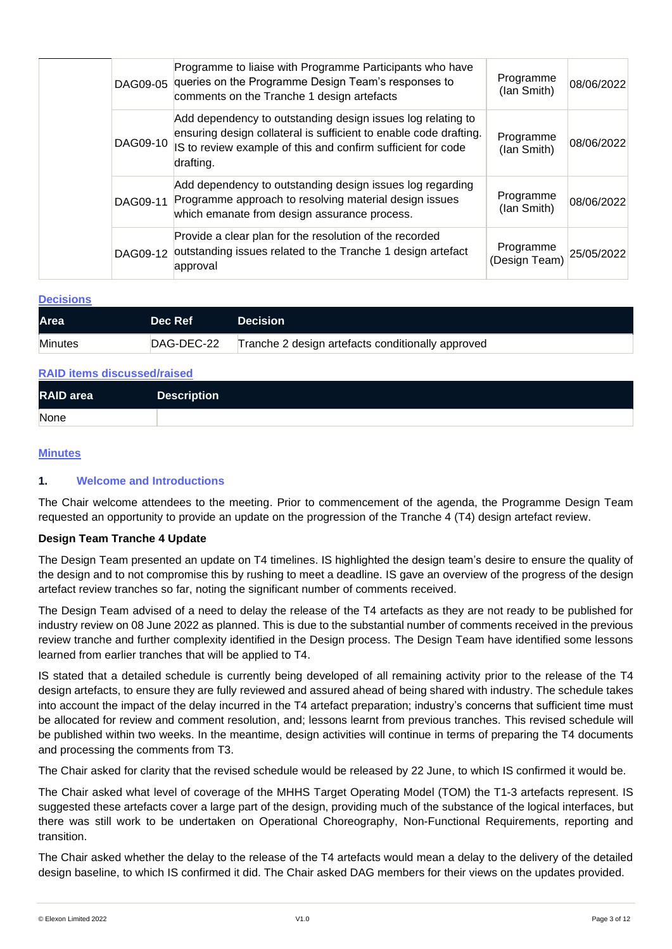|          | Programme to liaise with Programme Participants who have<br>DAG09-05 queries on the Programme Design Team's responses to<br>comments on the Tranche 1 design artefacts                                        | Programme<br>(Ian Smith)   | 08/06/2022 |
|----------|---------------------------------------------------------------------------------------------------------------------------------------------------------------------------------------------------------------|----------------------------|------------|
| DAG09-10 | Add dependency to outstanding design issues log relating to<br>ensuring design collateral is sufficient to enable code drafting.<br>IS to review example of this and confirm sufficient for code<br>drafting. | Programme<br>(Ian Smith)   | 08/06/2022 |
| DAG09-11 | Add dependency to outstanding design issues log regarding<br>Programme approach to resolving material design issues<br>which emanate from design assurance process.                                           | Programme<br>(lan Smith)   | 08/06/2022 |
| DAG09-12 | Provide a clear plan for the resolution of the recorded<br>outstanding issues related to the Tranche 1 design artefact<br>approval                                                                            | Programme<br>(Design Team) | 25/05/2022 |

#### **Decisions**

| <b>Area</b>    | Dec Ref    | <b>Decision</b>                                   |
|----------------|------------|---------------------------------------------------|
| <b>Minutes</b> | DAG-DEC-22 | Tranche 2 design artefacts conditionally approved |

| <b>RAID items discussed/raised</b> |                    |  |
|------------------------------------|--------------------|--|
| <b>RAID</b> area                   | <b>Description</b> |  |
| None                               |                    |  |

### **Minutes**

### **1. Welcome and Introductions**

The Chair welcome attendees to the meeting. Prior to commencement of the agenda, the Programme Design Team requested an opportunity to provide an update on the progression of the Tranche 4 (T4) design artefact review.

### **Design Team Tranche 4 Update**

The Design Team presented an update on T4 timelines. IS highlighted the design team's desire to ensure the quality of the design and to not compromise this by rushing to meet a deadline. IS gave an overview of the progress of the design artefact review tranches so far, noting the significant number of comments received.

The Design Team advised of a need to delay the release of the T4 artefacts as they are not ready to be published for industry review on 08 June 2022 as planned. This is due to the substantial number of comments received in the previous review tranche and further complexity identified in the Design process. The Design Team have identified some lessons learned from earlier tranches that will be applied to T4.

IS stated that a detailed schedule is currently being developed of all remaining activity prior to the release of the T4 design artefacts, to ensure they are fully reviewed and assured ahead of being shared with industry. The schedule takes into account the impact of the delay incurred in the T4 artefact preparation; industry's concerns that sufficient time must be allocated for review and comment resolution, and; lessons learnt from previous tranches. This revised schedule will be published within two weeks. In the meantime, design activities will continue in terms of preparing the T4 documents and processing the comments from T3.

The Chair asked for clarity that the revised schedule would be released by 22 June, to which IS confirmed it would be.

The Chair asked what level of coverage of the MHHS Target Operating Model (TOM) the T1-3 artefacts represent. IS suggested these artefacts cover a large part of the design, providing much of the substance of the logical interfaces, but there was still work to be undertaken on Operational Choreography, Non-Functional Requirements, reporting and transition.

The Chair asked whether the delay to the release of the T4 artefacts would mean a delay to the delivery of the detailed design baseline, to which IS confirmed it did. The Chair asked DAG members for their views on the updates provided.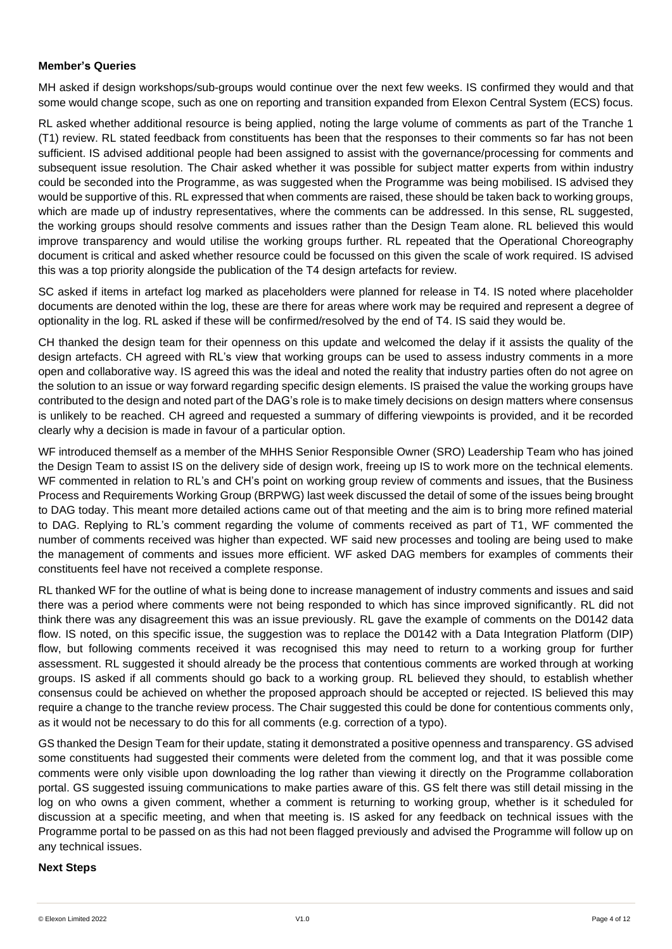## **Member's Queries**

MH asked if design workshops/sub-groups would continue over the next few weeks. IS confirmed they would and that some would change scope, such as one on reporting and transition expanded from Elexon Central System (ECS) focus.

RL asked whether additional resource is being applied, noting the large volume of comments as part of the Tranche 1 (T1) review. RL stated feedback from constituents has been that the responses to their comments so far has not been sufficient. IS advised additional people had been assigned to assist with the governance/processing for comments and subsequent issue resolution. The Chair asked whether it was possible for subject matter experts from within industry could be seconded into the Programme, as was suggested when the Programme was being mobilised. IS advised they would be supportive of this. RL expressed that when comments are raised, these should be taken back to working groups, which are made up of industry representatives, where the comments can be addressed. In this sense, RL suggested, the working groups should resolve comments and issues rather than the Design Team alone. RL believed this would improve transparency and would utilise the working groups further. RL repeated that the Operational Choreography document is critical and asked whether resource could be focussed on this given the scale of work required. IS advised this was a top priority alongside the publication of the T4 design artefacts for review.

SC asked if items in artefact log marked as placeholders were planned for release in T4. IS noted where placeholder documents are denoted within the log, these are there for areas where work may be required and represent a degree of optionality in the log. RL asked if these will be confirmed/resolved by the end of T4. IS said they would be.

CH thanked the design team for their openness on this update and welcomed the delay if it assists the quality of the design artefacts. CH agreed with RL's view that working groups can be used to assess industry comments in a more open and collaborative way. IS agreed this was the ideal and noted the reality that industry parties often do not agree on the solution to an issue or way forward regarding specific design elements. IS praised the value the working groups have contributed to the design and noted part of the DAG's role is to make timely decisions on design matters where consensus is unlikely to be reached. CH agreed and requested a summary of differing viewpoints is provided, and it be recorded clearly why a decision is made in favour of a particular option.

WF introduced themself as a member of the MHHS Senior Responsible Owner (SRO) Leadership Team who has joined the Design Team to assist IS on the delivery side of design work, freeing up IS to work more on the technical elements. WF commented in relation to RL's and CH's point on working group review of comments and issues, that the Business Process and Requirements Working Group (BRPWG) last week discussed the detail of some of the issues being brought to DAG today. This meant more detailed actions came out of that meeting and the aim is to bring more refined material to DAG. Replying to RL's comment regarding the volume of comments received as part of T1, WF commented the number of comments received was higher than expected. WF said new processes and tooling are being used to make the management of comments and issues more efficient. WF asked DAG members for examples of comments their constituents feel have not received a complete response.

RL thanked WF for the outline of what is being done to increase management of industry comments and issues and said there was a period where comments were not being responded to which has since improved significantly. RL did not think there was any disagreement this was an issue previously. RL gave the example of comments on the D0142 data flow. IS noted, on this specific issue, the suggestion was to replace the D0142 with a Data Integration Platform (DIP) flow, but following comments received it was recognised this may need to return to a working group for further assessment. RL suggested it should already be the process that contentious comments are worked through at working groups. IS asked if all comments should go back to a working group. RL believed they should, to establish whether consensus could be achieved on whether the proposed approach should be accepted or rejected. IS believed this may require a change to the tranche review process. The Chair suggested this could be done for contentious comments only, as it would not be necessary to do this for all comments (e.g. correction of a typo).

GS thanked the Design Team for their update, stating it demonstrated a positive openness and transparency. GS advised some constituents had suggested their comments were deleted from the comment log, and that it was possible come comments were only visible upon downloading the log rather than viewing it directly on the Programme collaboration portal. GS suggested issuing communications to make parties aware of this. GS felt there was still detail missing in the log on who owns a given comment, whether a comment is returning to working group, whether is it scheduled for discussion at a specific meeting, and when that meeting is. IS asked for any feedback on technical issues with the Programme portal to be passed on as this had not been flagged previously and advised the Programme will follow up on any technical issues.

### **Next Steps**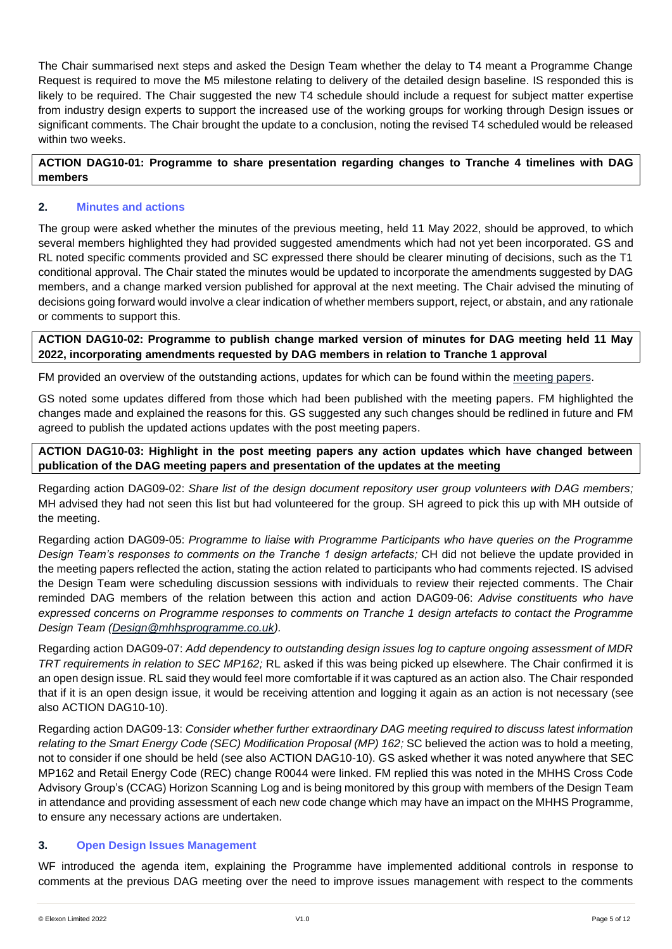The Chair summarised next steps and asked the Design Team whether the delay to T4 meant a Programme Change Request is required to move the M5 milestone relating to delivery of the detailed design baseline. IS responded this is likely to be required. The Chair suggested the new T4 schedule should include a request for subject matter expertise from industry design experts to support the increased use of the working groups for working through Design issues or significant comments. The Chair brought the update to a conclusion, noting the revised T4 scheduled would be released within two weeks.

## **ACTION DAG10-01: Programme to share presentation regarding changes to Tranche 4 timelines with DAG members**

# **2. Minutes and actions**

The group were asked whether the minutes of the previous meeting, held 11 May 2022, should be approved, to which several members highlighted they had provided suggested amendments which had not yet been incorporated. GS and RL noted specific comments provided and SC expressed there should be clearer minuting of decisions, such as the T1 conditional approval. The Chair stated the minutes would be updated to incorporate the amendments suggested by DAG members, and a change marked version published for approval at the next meeting. The Chair advised the minuting of decisions going forward would involve a clear indication of whether members support, reject, or abstain, and any rationale or comments to support this.

**ACTION DAG10-02: Programme to publish change marked version of minutes for DAG meeting held 11 May 2022, incorporating amendments requested by DAG members in relation to Tranche 1 approval**

FM provided an overview of the outstanding actions, updates for which can be found within the [meeting papers.](https://mhhsprogramme-production-cdn.s3.eu-west-2.amazonaws.com/wp-content/uploads/2022/04/06124839/MHHS-DEL351-DAG-13-April-2022-v1.0.pdf)

GS noted some updates differed from those which had been published with the meeting papers. FM highlighted the changes made and explained the reasons for this. GS suggested any such changes should be redlined in future and FM agreed to publish the updated actions updates with the post meeting papers.

**ACTION DAG10-03: Highlight in the post meeting papers any action updates which have changed between publication of the DAG meeting papers and presentation of the updates at the meeting**

Regarding action DAG09-02: *Share list of the design document repository user group volunteers with DAG members;* MH advised they had not seen this list but had volunteered for the group. SH agreed to pick this up with MH outside of the meeting.

Regarding action DAG09-05: *Programme to liaise with Programme Participants who have queries on the Programme Design Team's responses to comments on the Tranche 1 design artefacts;* CH did not believe the update provided in the meeting papers reflected the action, stating the action related to participants who had comments rejected. IS advised the Design Team were scheduling discussion sessions with individuals to review their rejected comments. The Chair reminded DAG members of the relation between this action and action DAG09-06: *Advise constituents who have expressed concerns on Programme responses to comments on Tranche 1 design artefacts to contact the Programme Design Team [\(Design@mhhsprogramme.co.uk\)](mailto:Design@mhhsprogramme.co.uk).*

Regarding action DAG09-07: *Add dependency to outstanding design issues log to capture ongoing assessment of MDR TRT requirements in relation to SEC MP162;* RL asked if this was being picked up elsewhere. The Chair confirmed it is an open design issue. RL said they would feel more comfortable if it was captured as an action also. The Chair responded that if it is an open design issue, it would be receiving attention and logging it again as an action is not necessary (see also ACTION DAG10-10).

Regarding action DAG09-13: *Consider whether further extraordinary DAG meeting required to discuss latest information relating to the Smart Energy Code (SEC) Modification Proposal (MP) 162;* SC believed the action was to hold a meeting, not to consider if one should be held (see also ACTION DAG10-10). GS asked whether it was noted anywhere that SEC MP162 and Retail Energy Code (REC) change R0044 were linked. FM replied this was noted in the MHHS Cross Code Advisory Group's (CCAG) Horizon Scanning Log and is being monitored by this group with members of the Design Team in attendance and providing assessment of each new code change which may have an impact on the MHHS Programme, to ensure any necessary actions are undertaken.

### **3. Open Design Issues Management**

WF introduced the agenda item, explaining the Programme have implemented additional controls in response to comments at the previous DAG meeting over the need to improve issues management with respect to the comments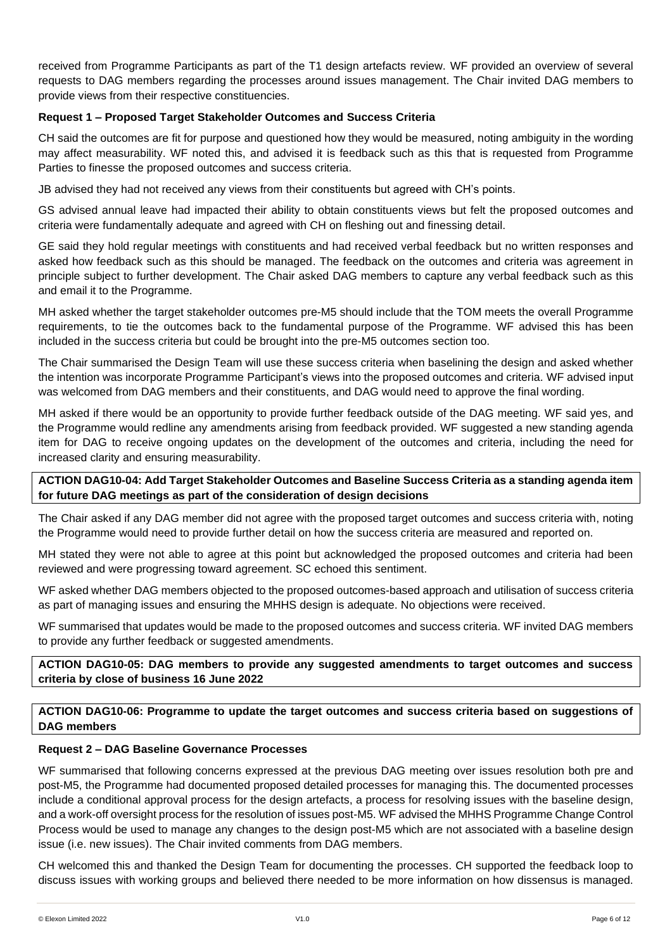received from Programme Participants as part of the T1 design artefacts review. WF provided an overview of several requests to DAG members regarding the processes around issues management. The Chair invited DAG members to provide views from their respective constituencies.

## **Request 1 – Proposed Target Stakeholder Outcomes and Success Criteria**

CH said the outcomes are fit for purpose and questioned how they would be measured, noting ambiguity in the wording may affect measurability. WF noted this, and advised it is feedback such as this that is requested from Programme Parties to finesse the proposed outcomes and success criteria.

JB advised they had not received any views from their constituents but agreed with CH's points.

GS advised annual leave had impacted their ability to obtain constituents views but felt the proposed outcomes and criteria were fundamentally adequate and agreed with CH on fleshing out and finessing detail.

GE said they hold regular meetings with constituents and had received verbal feedback but no written responses and asked how feedback such as this should be managed. The feedback on the outcomes and criteria was agreement in principle subject to further development. The Chair asked DAG members to capture any verbal feedback such as this and email it to the Programme.

MH asked whether the target stakeholder outcomes pre-M5 should include that the TOM meets the overall Programme requirements, to tie the outcomes back to the fundamental purpose of the Programme. WF advised this has been included in the success criteria but could be brought into the pre-M5 outcomes section too.

The Chair summarised the Design Team will use these success criteria when baselining the design and asked whether the intention was incorporate Programme Participant's views into the proposed outcomes and criteria. WF advised input was welcomed from DAG members and their constituents, and DAG would need to approve the final wording.

MH asked if there would be an opportunity to provide further feedback outside of the DAG meeting. WF said yes, and the Programme would redline any amendments arising from feedback provided. WF suggested a new standing agenda item for DAG to receive ongoing updates on the development of the outcomes and criteria, including the need for increased clarity and ensuring measurability.

## **ACTION DAG10-04: Add Target Stakeholder Outcomes and Baseline Success Criteria as a standing agenda item for future DAG meetings as part of the consideration of design decisions**

The Chair asked if any DAG member did not agree with the proposed target outcomes and success criteria with, noting the Programme would need to provide further detail on how the success criteria are measured and reported on.

MH stated they were not able to agree at this point but acknowledged the proposed outcomes and criteria had been reviewed and were progressing toward agreement. SC echoed this sentiment.

WF asked whether DAG members objected to the proposed outcomes-based approach and utilisation of success criteria as part of managing issues and ensuring the MHHS design is adequate. No objections were received.

WF summarised that updates would be made to the proposed outcomes and success criteria. WF invited DAG members to provide any further feedback or suggested amendments.

**ACTION DAG10-05: DAG members to provide any suggested amendments to target outcomes and success criteria by close of business 16 June 2022**

**ACTION DAG10-06: Programme to update the target outcomes and success criteria based on suggestions of DAG members** 

### **Request 2 – DAG Baseline Governance Processes**

WF summarised that following concerns expressed at the previous DAG meeting over issues resolution both pre and post-M5, the Programme had documented proposed detailed processes for managing this. The documented processes include a conditional approval process for the design artefacts, a process for resolving issues with the baseline design, and a work-off oversight process for the resolution of issues post-M5. WF advised the MHHS Programme Change Control Process would be used to manage any changes to the design post-M5 which are not associated with a baseline design issue (i.e. new issues). The Chair invited comments from DAG members.

CH welcomed this and thanked the Design Team for documenting the processes. CH supported the feedback loop to discuss issues with working groups and believed there needed to be more information on how dissensus is managed.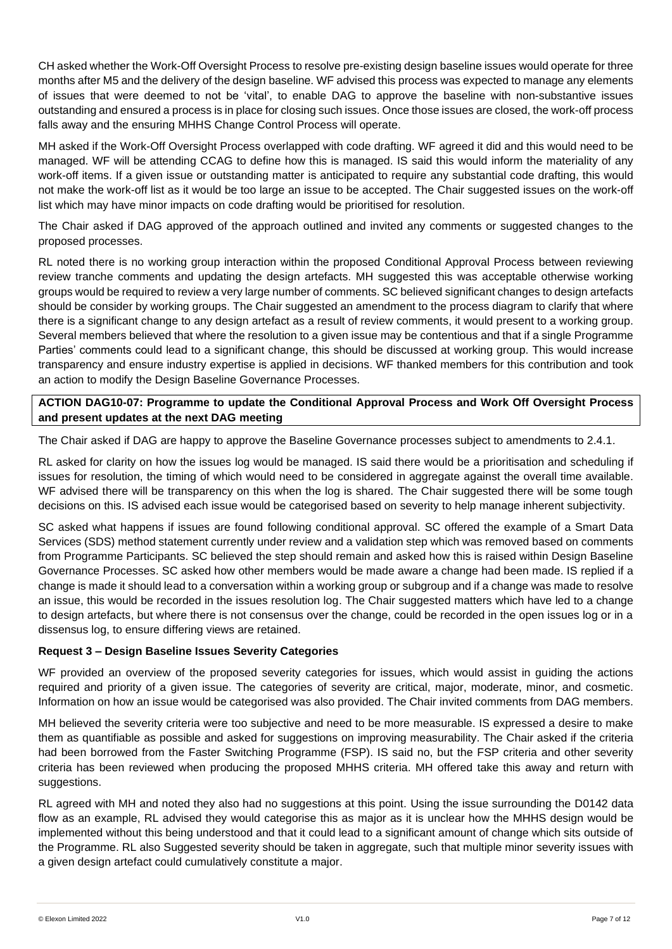CH asked whether the Work-Off Oversight Process to resolve pre-existing design baseline issues would operate for three months after M5 and the delivery of the design baseline. WF advised this process was expected to manage any elements of issues that were deemed to not be 'vital', to enable DAG to approve the baseline with non-substantive issues outstanding and ensured a process is in place for closing such issues. Once those issues are closed, the work-off process falls away and the ensuring MHHS Change Control Process will operate.

MH asked if the Work-Off Oversight Process overlapped with code drafting. WF agreed it did and this would need to be managed. WF will be attending CCAG to define how this is managed. IS said this would inform the materiality of any work-off items. If a given issue or outstanding matter is anticipated to require any substantial code drafting, this would not make the work-off list as it would be too large an issue to be accepted. The Chair suggested issues on the work-off list which may have minor impacts on code drafting would be prioritised for resolution.

The Chair asked if DAG approved of the approach outlined and invited any comments or suggested changes to the proposed processes.

RL noted there is no working group interaction within the proposed Conditional Approval Process between reviewing review tranche comments and updating the design artefacts. MH suggested this was acceptable otherwise working groups would be required to review a very large number of comments. SC believed significant changes to design artefacts should be consider by working groups. The Chair suggested an amendment to the process diagram to clarify that where there is a significant change to any design artefact as a result of review comments, it would present to a working group. Several members believed that where the resolution to a given issue may be contentious and that if a single Programme Parties' comments could lead to a significant change, this should be discussed at working group. This would increase transparency and ensure industry expertise is applied in decisions. WF thanked members for this contribution and took an action to modify the Design Baseline Governance Processes.

# **ACTION DAG10-07: Programme to update the Conditional Approval Process and Work Off Oversight Process and present updates at the next DAG meeting**

The Chair asked if DAG are happy to approve the Baseline Governance processes subject to amendments to 2.4.1.

RL asked for clarity on how the issues log would be managed. IS said there would be a prioritisation and scheduling if issues for resolution, the timing of which would need to be considered in aggregate against the overall time available. WF advised there will be transparency on this when the log is shared. The Chair suggested there will be some tough decisions on this. IS advised each issue would be categorised based on severity to help manage inherent subjectivity.

SC asked what happens if issues are found following conditional approval. SC offered the example of a Smart Data Services (SDS) method statement currently under review and a validation step which was removed based on comments from Programme Participants. SC believed the step should remain and asked how this is raised within Design Baseline Governance Processes. SC asked how other members would be made aware a change had been made. IS replied if a change is made it should lead to a conversation within a working group or subgroup and if a change was made to resolve an issue, this would be recorded in the issues resolution log. The Chair suggested matters which have led to a change to design artefacts, but where there is not consensus over the change, could be recorded in the open issues log or in a dissensus log, to ensure differing views are retained.

# **Request 3 – Design Baseline Issues Severity Categories**

WF provided an overview of the proposed severity categories for issues, which would assist in guiding the actions required and priority of a given issue. The categories of severity are critical, major, moderate, minor, and cosmetic. Information on how an issue would be categorised was also provided. The Chair invited comments from DAG members.

MH believed the severity criteria were too subjective and need to be more measurable. IS expressed a desire to make them as quantifiable as possible and asked for suggestions on improving measurability. The Chair asked if the criteria had been borrowed from the Faster Switching Programme (FSP). IS said no, but the FSP criteria and other severity criteria has been reviewed when producing the proposed MHHS criteria. MH offered take this away and return with suggestions.

RL agreed with MH and noted they also had no suggestions at this point. Using the issue surrounding the D0142 data flow as an example, RL advised they would categorise this as major as it is unclear how the MHHS design would be implemented without this being understood and that it could lead to a significant amount of change which sits outside of the Programme. RL also Suggested severity should be taken in aggregate, such that multiple minor severity issues with a given design artefact could cumulatively constitute a major.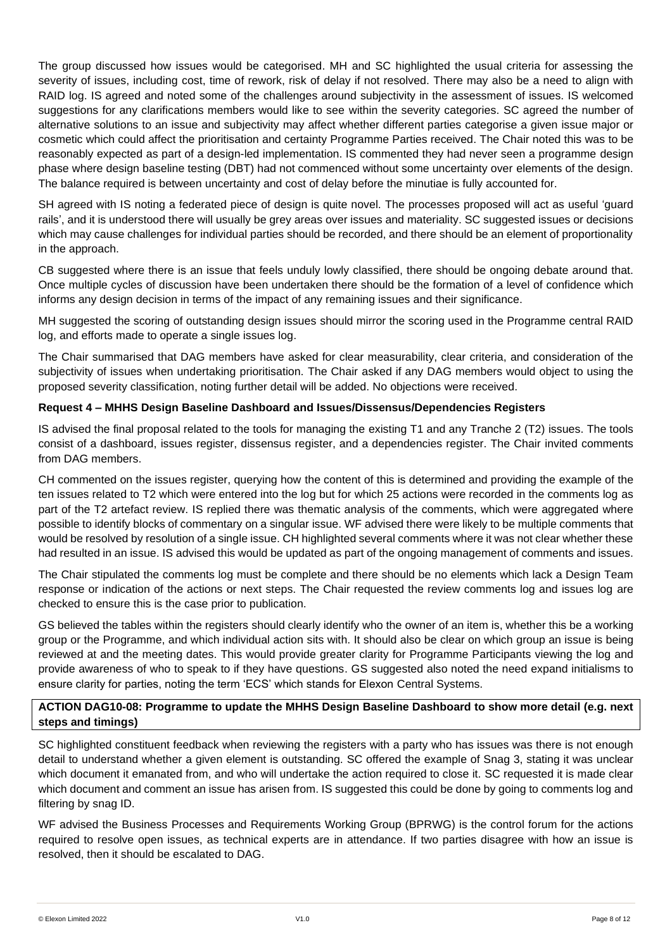The group discussed how issues would be categorised. MH and SC highlighted the usual criteria for assessing the severity of issues, including cost, time of rework, risk of delay if not resolved. There may also be a need to align with RAID log. IS agreed and noted some of the challenges around subjectivity in the assessment of issues. IS welcomed suggestions for any clarifications members would like to see within the severity categories. SC agreed the number of alternative solutions to an issue and subjectivity may affect whether different parties categorise a given issue major or cosmetic which could affect the prioritisation and certainty Programme Parties received. The Chair noted this was to be reasonably expected as part of a design-led implementation. IS commented they had never seen a programme design phase where design baseline testing (DBT) had not commenced without some uncertainty over elements of the design. The balance required is between uncertainty and cost of delay before the minutiae is fully accounted for.

SH agreed with IS noting a federated piece of design is quite novel. The processes proposed will act as useful 'guard rails', and it is understood there will usually be grey areas over issues and materiality. SC suggested issues or decisions which may cause challenges for individual parties should be recorded, and there should be an element of proportionality in the approach.

CB suggested where there is an issue that feels unduly lowly classified, there should be ongoing debate around that. Once multiple cycles of discussion have been undertaken there should be the formation of a level of confidence which informs any design decision in terms of the impact of any remaining issues and their significance.

MH suggested the scoring of outstanding design issues should mirror the scoring used in the Programme central RAID log, and efforts made to operate a single issues log.

The Chair summarised that DAG members have asked for clear measurability, clear criteria, and consideration of the subjectivity of issues when undertaking prioritisation. The Chair asked if any DAG members would object to using the proposed severity classification, noting further detail will be added. No objections were received.

## **Request 4 – MHHS Design Baseline Dashboard and Issues/Dissensus/Dependencies Registers**

IS advised the final proposal related to the tools for managing the existing T1 and any Tranche 2 (T2) issues. The tools consist of a dashboard, issues register, dissensus register, and a dependencies register. The Chair invited comments from DAG members.

CH commented on the issues register, querying how the content of this is determined and providing the example of the ten issues related to T2 which were entered into the log but for which 25 actions were recorded in the comments log as part of the T2 artefact review. IS replied there was thematic analysis of the comments, which were aggregated where possible to identify blocks of commentary on a singular issue. WF advised there were likely to be multiple comments that would be resolved by resolution of a single issue. CH highlighted several comments where it was not clear whether these had resulted in an issue. IS advised this would be updated as part of the ongoing management of comments and issues.

The Chair stipulated the comments log must be complete and there should be no elements which lack a Design Team response or indication of the actions or next steps. The Chair requested the review comments log and issues log are checked to ensure this is the case prior to publication.

GS believed the tables within the registers should clearly identify who the owner of an item is, whether this be a working group or the Programme, and which individual action sits with. It should also be clear on which group an issue is being reviewed at and the meeting dates. This would provide greater clarity for Programme Participants viewing the log and provide awareness of who to speak to if they have questions. GS suggested also noted the need expand initialisms to ensure clarity for parties, noting the term 'ECS' which stands for Elexon Central Systems.

## **ACTION DAG10-08: Programme to update the MHHS Design Baseline Dashboard to show more detail (e.g. next steps and timings)**

SC highlighted constituent feedback when reviewing the registers with a party who has issues was there is not enough detail to understand whether a given element is outstanding. SC offered the example of Snag 3, stating it was unclear which document it emanated from, and who will undertake the action required to close it. SC requested it is made clear which document and comment an issue has arisen from. IS suggested this could be done by going to comments log and filtering by snag ID.

WF advised the Business Processes and Requirements Working Group (BPRWG) is the control forum for the actions required to resolve open issues, as technical experts are in attendance. If two parties disagree with how an issue is resolved, then it should be escalated to DAG.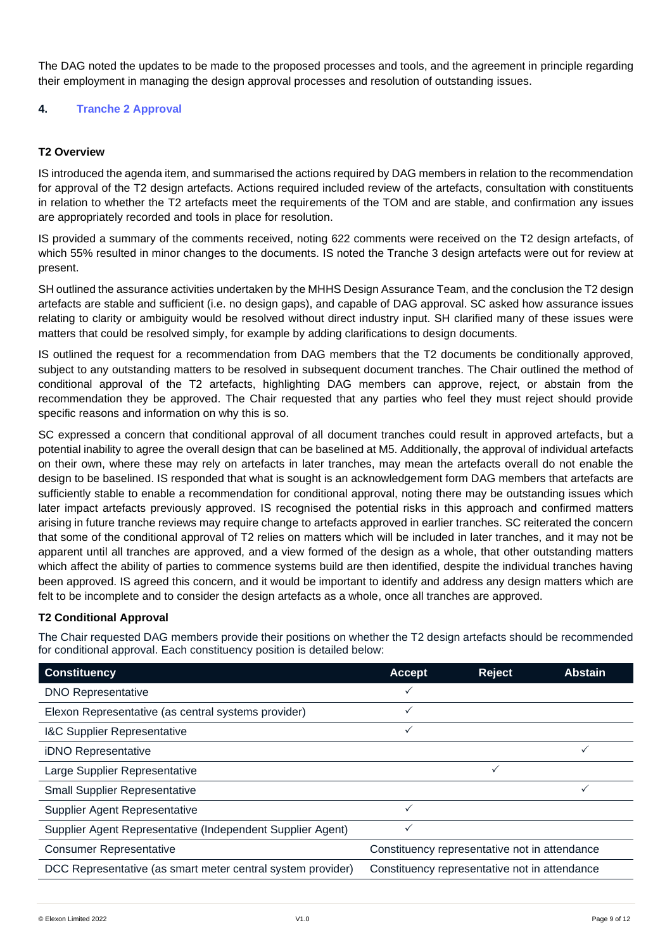The DAG noted the updates to be made to the proposed processes and tools, and the agreement in principle regarding their employment in managing the design approval processes and resolution of outstanding issues.

# **4. Tranche 2 Approval**

## **T2 Overview**

IS introduced the agenda item, and summarised the actions required by DAG members in relation to the recommendation for approval of the T2 design artefacts. Actions required included review of the artefacts, consultation with constituents in relation to whether the T2 artefacts meet the requirements of the TOM and are stable, and confirmation any issues are appropriately recorded and tools in place for resolution.

IS provided a summary of the comments received, noting 622 comments were received on the T2 design artefacts, of which 55% resulted in minor changes to the documents. IS noted the Tranche 3 design artefacts were out for review at present.

SH outlined the assurance activities undertaken by the MHHS Design Assurance Team, and the conclusion the T2 design artefacts are stable and sufficient (i.e. no design gaps), and capable of DAG approval. SC asked how assurance issues relating to clarity or ambiguity would be resolved without direct industry input. SH clarified many of these issues were matters that could be resolved simply, for example by adding clarifications to design documents.

IS outlined the request for a recommendation from DAG members that the T2 documents be conditionally approved, subject to any outstanding matters to be resolved in subsequent document tranches. The Chair outlined the method of conditional approval of the T2 artefacts, highlighting DAG members can approve, reject, or abstain from the recommendation they be approved. The Chair requested that any parties who feel they must reject should provide specific reasons and information on why this is so.

SC expressed a concern that conditional approval of all document tranches could result in approved artefacts, but a potential inability to agree the overall design that can be baselined at M5. Additionally, the approval of individual artefacts on their own, where these may rely on artefacts in later tranches, may mean the artefacts overall do not enable the design to be baselined. IS responded that what is sought is an acknowledgement form DAG members that artefacts are sufficiently stable to enable a recommendation for conditional approval, noting there may be outstanding issues which later impact artefacts previously approved. IS recognised the potential risks in this approach and confirmed matters arising in future tranche reviews may require change to artefacts approved in earlier tranches. SC reiterated the concern that some of the conditional approval of T2 relies on matters which will be included in later tranches, and it may not be apparent until all tranches are approved, and a view formed of the design as a whole, that other outstanding matters which affect the ability of parties to commence systems build are then identified, despite the individual tranches having been approved. IS agreed this concern, and it would be important to identify and address any design matters which are felt to be incomplete and to consider the design artefacts as a whole, once all tranches are approved.

### **T2 Conditional Approval**

The Chair requested DAG members provide their positions on whether the T2 design artefacts should be recommended for conditional approval. Each constituency position is detailed below:

| <b>Constituency</b>                                         | <b>Accept</b>                                 | <b>Reject</b> | <b>Abstain</b> |
|-------------------------------------------------------------|-----------------------------------------------|---------------|----------------|
| <b>DNO Representative</b>                                   | ✓                                             |               |                |
| Elexon Representative (as central systems provider)         | ✓                                             |               |                |
| <b>I&amp;C Supplier Representative</b>                      | $\checkmark$                                  |               |                |
| iDNO Representative                                         |                                               |               | $\checkmark$   |
| Large Supplier Representative                               |                                               | ✓             |                |
| <b>Small Supplier Representative</b>                        |                                               |               |                |
| Supplier Agent Representative                               | ✓                                             |               |                |
| Supplier Agent Representative (Independent Supplier Agent)  | ✓                                             |               |                |
| <b>Consumer Representative</b>                              | Constituency representative not in attendance |               |                |
| DCC Representative (as smart meter central system provider) | Constituency representative not in attendance |               |                |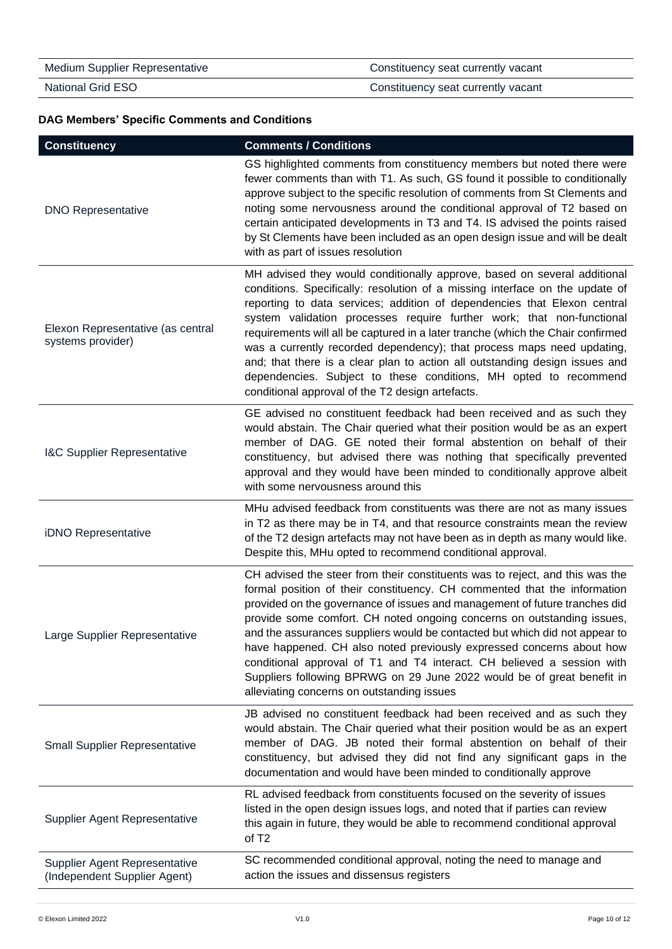| <b>Medium Supplier Representative</b> | Constituency seat currently vacant |
|---------------------------------------|------------------------------------|
| National Grid ESO                     | Constituency seat currently vacant |

# **DAG Members' Specific Comments and Conditions**

| <b>Constituency</b>                                           | <b>Comments / Conditions</b>                                                                                                                                                                                                                                                                                                                                                                                                                                                                                                                                                                                                                                                      |
|---------------------------------------------------------------|-----------------------------------------------------------------------------------------------------------------------------------------------------------------------------------------------------------------------------------------------------------------------------------------------------------------------------------------------------------------------------------------------------------------------------------------------------------------------------------------------------------------------------------------------------------------------------------------------------------------------------------------------------------------------------------|
| <b>DNO Representative</b>                                     | GS highlighted comments from constituency members but noted there were<br>fewer comments than with T1. As such, GS found it possible to conditionally<br>approve subject to the specific resolution of comments from St Clements and<br>noting some nervousness around the conditional approval of T2 based on<br>certain anticipated developments in T3 and T4. IS advised the points raised<br>by St Clements have been included as an open design issue and will be dealt<br>with as part of issues resolution                                                                                                                                                                 |
| Elexon Representative (as central<br>systems provider)        | MH advised they would conditionally approve, based on several additional<br>conditions. Specifically: resolution of a missing interface on the update of<br>reporting to data services; addition of dependencies that Elexon central<br>system validation processes require further work; that non-functional<br>requirements will all be captured in a later tranche (which the Chair confirmed<br>was a currently recorded dependency); that process maps need updating,<br>and; that there is a clear plan to action all outstanding design issues and<br>dependencies. Subject to these conditions, MH opted to recommend<br>conditional approval of the T2 design artefacts. |
| I&C Supplier Representative                                   | GE advised no constituent feedback had been received and as such they<br>would abstain. The Chair queried what their position would be as an expert<br>member of DAG. GE noted their formal abstention on behalf of their<br>constituency, but advised there was nothing that specifically prevented<br>approval and they would have been minded to conditionally approve albeit<br>with some nervousness around this                                                                                                                                                                                                                                                             |
| iDNO Representative                                           | MHu advised feedback from constituents was there are not as many issues<br>in T2 as there may be in T4, and that resource constraints mean the review<br>of the T2 design artefacts may not have been as in depth as many would like.<br>Despite this, MHu opted to recommend conditional approval.                                                                                                                                                                                                                                                                                                                                                                               |
| Large Supplier Representative                                 | CH advised the steer from their constituents was to reject, and this was the<br>formal position of their constituency. CH commented that the information<br>provided on the governance of issues and management of future tranches did<br>provide some comfort. CH noted ongoing concerns on outstanding issues,<br>and the assurances suppliers would be contacted but which did not appear to<br>have happened. CH also noted previously expressed concerns about how<br>conditional approval of T1 and T4 interact. CH believed a session with<br>Suppliers following BPRWG on 29 June 2022 would be of great benefit in<br>alleviating concerns on outstanding issues         |
| <b>Small Supplier Representative</b>                          | JB advised no constituent feedback had been received and as such they<br>would abstain. The Chair queried what their position would be as an expert<br>member of DAG. JB noted their formal abstention on behalf of their<br>constituency, but advised they did not find any significant gaps in the<br>documentation and would have been minded to conditionally approve                                                                                                                                                                                                                                                                                                         |
| Supplier Agent Representative                                 | RL advised feedback from constituents focused on the severity of issues<br>listed in the open design issues logs, and noted that if parties can review<br>this again in future, they would be able to recommend conditional approval<br>of T <sub>2</sub>                                                                                                                                                                                                                                                                                                                                                                                                                         |
| Supplier Agent Representative<br>(Independent Supplier Agent) | SC recommended conditional approval, noting the need to manage and<br>action the issues and dissensus registers                                                                                                                                                                                                                                                                                                                                                                                                                                                                                                                                                                   |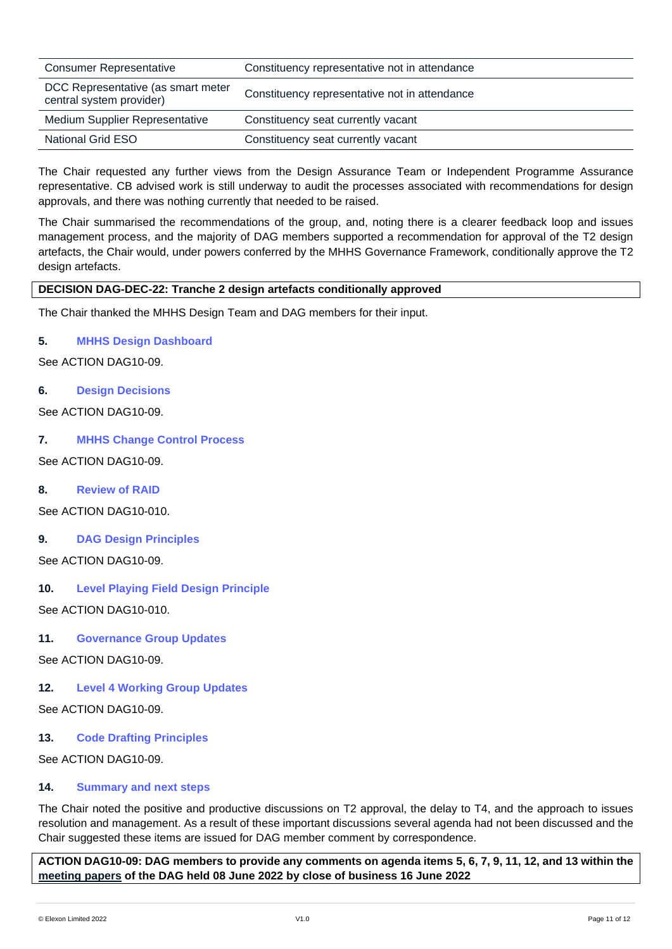| <b>Consumer Representative</b>                                 | Constituency representative not in attendance |
|----------------------------------------------------------------|-----------------------------------------------|
| DCC Representative (as smart meter<br>central system provider) | Constituency representative not in attendance |
| <b>Medium Supplier Representative</b>                          | Constituency seat currently vacant            |
| National Grid ESO                                              | Constituency seat currently vacant            |

The Chair requested any further views from the Design Assurance Team or Independent Programme Assurance representative. CB advised work is still underway to audit the processes associated with recommendations for design approvals, and there was nothing currently that needed to be raised.

The Chair summarised the recommendations of the group, and, noting there is a clearer feedback loop and issues management process, and the majority of DAG members supported a recommendation for approval of the T2 design artefacts, the Chair would, under powers conferred by the MHHS Governance Framework, conditionally approve the T2 design artefacts.

## **DECISION DAG-DEC-22: Tranche 2 design artefacts conditionally approved**

The Chair thanked the MHHS Design Team and DAG members for their input.

## **5. MHHS Design Dashboard**

See ACTION DAG10-09.

## **6. Design Decisions**

See ACTION DAG10-09.

## **7. MHHS Change Control Process**

See ACTION DAG10-09.

### **8. Review of RAID**

See ACTION DAG10-010.

# **9. DAG Design Principles**

See ACTION DAG10-09.

# **10. Level Playing Field Design Principle**

See ACTION DAG10-010.

### **11. Governance Group Updates**

See ACTION DAG10-09.

# **12. Level 4 Working Group Updates**

See ACTION DAG10-09.

### **13. Code Drafting Principles**

See ACTION DAG10-09.

### **14. Summary and next steps**

The Chair noted the positive and productive discussions on T2 approval, the delay to T4, and the approach to issues resolution and management. As a result of these important discussions several agenda had not been discussed and the Chair suggested these items are issued for DAG member comment by correspondence.

**ACTION DAG10-09: DAG members to provide any comments on agenda items 5, 6, 7, 9, 11, 12, and 13 within the [meeting papers](https://mhhsprogramme-production-cdn.s3.eu-west-2.amazonaws.com/wp-content/uploads/2022/05/31112421/DAG-pack_8-June-2022.zip) of the DAG held 08 June 2022 by close of business 16 June 2022**